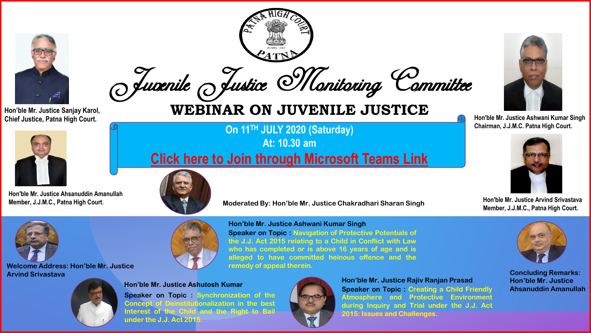

Juvenile Justice Monitoring Committee



**Hon'ble Mr. Justice Ahsanuddin Amanullah Member, J.J.M.C., Patna High Court**.

## Hon'ble Mr. Justice Sanjay Karol,<br>Chief Justice, Patna High Court.

**On 11TH JULY 2020 (Saturday) At: 10.30 am [Click here to Join through Microsoft Teams Link](https://teams.microsoft.com/l/meetup-join/19%3ameeting_YzMwODIxODQtZThhNC00MTBmLWJhNjktZmQzYzY1NmMwMGY3%40thread.v2/0?context=%7b%22Tid%22%3a%2203760c8c-cc7f-43f7-8394-4afe2c235dc6%22%2c%22Oid%22%3a%221afedc19-f78d-46e8-b366-c53579db7e8a%22%2c%22IsBroadcastMeeting%22%3atrue%7d)**







**Welcome Address: Hon'ble Mr. Justice Arvind Srivastava**





**under the J.J. Act 2015.**

**Hon'ble Mr. Justice Ashwani Kumar Singh Speaker on Topic : Navigation of Protective Potentials of the J.J. Act 2015 relating to a Child in Conflict with Law who has completed or is above 16 years of age and is alleged to have committed heinous offence and the remedy of appeal therein.**





**Hon'ble Mr. Justice Ashutosh Kumar Speaker on Topic : Creating a Child Friendly Atmosphere and Protective Environment during Inquiry and Trial under the J.J. Act 2015: Issues and Challenges. Hon'ble Mr. Justice Rajiv Ranjan Prasad**



**Chief Justice, Patna High Court. Hon'ble Mr. Justice Ashwani Kumar Singh Chairman, J.J.M.C. Patna High Court.**



**Hon'ble Mr. Justice Arvind Srivastava Member, J.J.M.C., Patna High Court.**



**Concluding Remarks: Hon'ble Mr. Justice Ahsanuddin Amanullah**